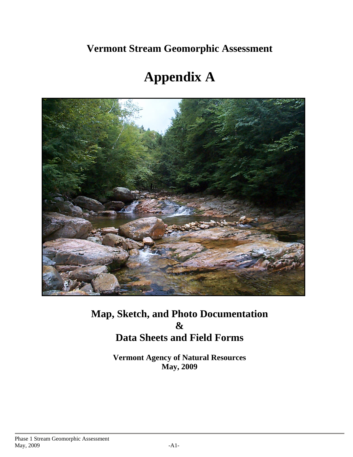**Vermont Stream Geomorphic Assessment** 

# **Appendix A**



# **Map, Sketch, and Photo Documentation & Data Sheets and Field Forms**

**Vermont Agency of Natural Resources May, 2009**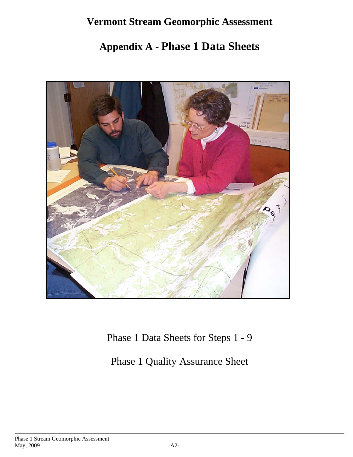# **Vermont Stream Geomorphic Assessment**

# **Appendix A - Phase 1 Data Sheets**



Phase 1 Data Sheets for Steps 1 - 9

Phase 1 Quality Assurance Sheet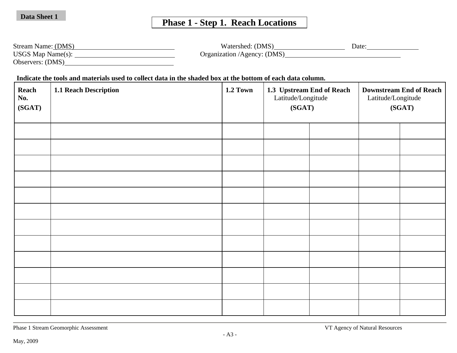# **Phase 1 - Step 1. Reach Locations**

| Stream Name: (DMS)       | Watershed: (DMS)            | Date: |
|--------------------------|-----------------------------|-------|
| <b>USGS Map Name(s):</b> | Organization /Agency: (DMS) |       |
| Observers: (DMS)         |                             |       |

 **Indicate the tools and materials used to collect data in the shaded box at the bottom of each data column.**

| Reach<br>No.<br>(SGAT) | 1.1 Reach Description | 1.2 Town | 1.3 Upstream End of Reach<br>Latitude/Longitude<br>(SGAT) | <b>Downstream End of Reach</b><br>Latitude/Longitude<br>(SGAT) |  |  |
|------------------------|-----------------------|----------|-----------------------------------------------------------|----------------------------------------------------------------|--|--|
|                        |                       |          |                                                           |                                                                |  |  |
|                        |                       |          |                                                           |                                                                |  |  |
|                        |                       |          |                                                           |                                                                |  |  |
|                        |                       |          |                                                           |                                                                |  |  |
|                        |                       |          |                                                           |                                                                |  |  |
|                        |                       |          |                                                           |                                                                |  |  |
|                        |                       |          |                                                           |                                                                |  |  |
|                        |                       |          |                                                           |                                                                |  |  |
|                        |                       |          |                                                           |                                                                |  |  |
|                        |                       |          |                                                           |                                                                |  |  |
|                        |                       |          |                                                           |                                                                |  |  |
|                        |                       |          |                                                           |                                                                |  |  |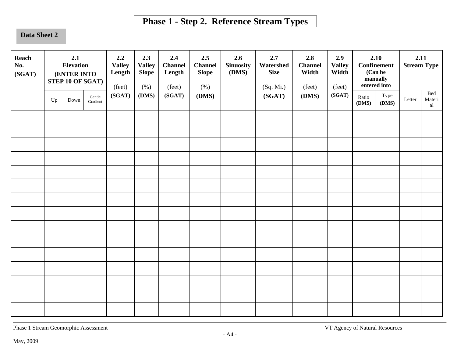# **Phase 1 - Step 2. Reference Stream Types**

#### **Data Sheet 2**

| Reach<br>No.<br>(SGAT) |    | 2.1<br><b>Elevation</b><br>(ENTER INTO | STEP 10 OF SGAT)   | 2.2<br><b>Valley</b><br>Length<br>(feet) | 2.3<br><b>Valley</b><br><b>Slope</b><br>(% ) | 2.4<br><b>Channel</b><br>Length<br>(feet) | 2.5<br><b>Channel</b><br><b>Slope</b><br>(% ) | 2.6<br><b>Sinuosity</b><br>(DMS) | 2.7<br>Watershed<br><b>Size</b><br>(Sq. Mi.) | 2.8<br><b>Channel</b><br>Width<br>(feet) | 2.9<br><b>Valley</b><br>Width<br>(feet) |                | 2.10<br><b>Confinement</b><br>(Can be<br>manually<br>entered into | 2.11   | <b>Stream Type</b>  |
|------------------------|----|----------------------------------------|--------------------|------------------------------------------|----------------------------------------------|-------------------------------------------|-----------------------------------------------|----------------------------------|----------------------------------------------|------------------------------------------|-----------------------------------------|----------------|-------------------------------------------------------------------|--------|---------------------|
|                        | Up | Down                                   | Gentle<br>Gradient | (SGAT)                                   | (DMS)                                        | (SGAT)                                    | (DMS)                                         |                                  | (SGAT)                                       | (DMS)                                    | (SGAT)                                  | Ratio<br>(DMS) | Type<br>(DMS)                                                     | Letter | Bed<br>Materi<br>al |
|                        |    |                                        |                    |                                          |                                              |                                           |                                               |                                  |                                              |                                          |                                         |                |                                                                   |        |                     |
|                        |    |                                        |                    |                                          |                                              |                                           |                                               |                                  |                                              |                                          |                                         |                |                                                                   |        |                     |
|                        |    |                                        |                    |                                          |                                              |                                           |                                               |                                  |                                              |                                          |                                         |                |                                                                   |        |                     |
|                        |    |                                        |                    |                                          |                                              |                                           |                                               |                                  |                                              |                                          |                                         |                |                                                                   |        |                     |
|                        |    |                                        |                    |                                          |                                              |                                           |                                               |                                  |                                              |                                          |                                         |                |                                                                   |        |                     |
|                        |    |                                        |                    |                                          |                                              |                                           |                                               |                                  |                                              |                                          |                                         |                |                                                                   |        |                     |
|                        |    |                                        |                    |                                          |                                              |                                           |                                               |                                  |                                              |                                          |                                         |                |                                                                   |        |                     |
|                        |    |                                        |                    |                                          |                                              |                                           |                                               |                                  |                                              |                                          |                                         |                |                                                                   |        |                     |
|                        |    |                                        |                    |                                          |                                              |                                           |                                               |                                  |                                              |                                          |                                         |                |                                                                   |        |                     |
|                        |    |                                        |                    |                                          |                                              |                                           |                                               |                                  |                                              |                                          |                                         |                |                                                                   |        |                     |
|                        |    |                                        |                    |                                          |                                              |                                           |                                               |                                  |                                              |                                          |                                         |                |                                                                   |        |                     |
|                        |    |                                        |                    |                                          |                                              |                                           |                                               |                                  |                                              |                                          |                                         |                |                                                                   |        |                     |
|                        |    |                                        |                    |                                          |                                              |                                           |                                               |                                  |                                              |                                          |                                         |                |                                                                   |        |                     |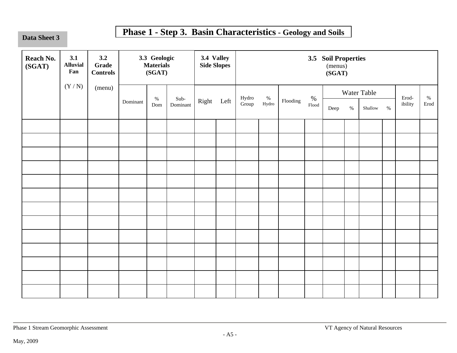Data Sheet 3

# **Phase 1 - Step 3. Basin Characteristics - Geology and Soils**

| Reach No.<br>(SGAT) | 3.1<br><b>Alluvial</b><br>Fan | 3.2<br><b>Grade</b><br><b>Controls</b> |          | 3.3 Geologic<br><b>Materials</b><br>(SGAT) |          | 3.4 Valley<br><b>Side Slopes</b> | 3.5 Soil Properties<br>(menus)<br>(SGAT) |            |          |               |      |      |             |      |                                 |      |
|---------------------|-------------------------------|----------------------------------------|----------|--------------------------------------------|----------|----------------------------------|------------------------------------------|------------|----------|---------------|------|------|-------------|------|---------------------------------|------|
|                     | (Y/N)                         | (menu)                                 |          | $\%$                                       | Sub-     |                                  |                                          |            |          | $\%$          |      |      | Water Table |      | $\operatorname*{Erod}\nolimits$ | $\%$ |
|                     |                               |                                        | Dominant | Dom                                        | Dominant | Right Left                       | Hydro<br>Group                           | $\%$ Hydro | Flooding | ${\rm Flood}$ | Deep | $\%$ | Shallow     | $\%$ | ibility                         | Erod |
|                     |                               |                                        |          |                                            |          |                                  |                                          |            |          |               |      |      |             |      |                                 |      |
|                     |                               |                                        |          |                                            |          |                                  |                                          |            |          |               |      |      |             |      |                                 |      |
|                     |                               |                                        |          |                                            |          |                                  |                                          |            |          |               |      |      |             |      |                                 |      |
|                     |                               |                                        |          |                                            |          |                                  |                                          |            |          |               |      |      |             |      |                                 |      |
|                     |                               |                                        |          |                                            |          |                                  |                                          |            |          |               |      |      |             |      |                                 |      |
|                     |                               |                                        |          |                                            |          |                                  |                                          |            |          |               |      |      |             |      |                                 |      |
|                     |                               |                                        |          |                                            |          |                                  |                                          |            |          |               |      |      |             |      |                                 |      |
|                     |                               |                                        |          |                                            |          |                                  |                                          |            |          |               |      |      |             |      |                                 |      |
|                     |                               |                                        |          |                                            |          |                                  |                                          |            |          |               |      |      |             |      |                                 |      |
|                     |                               |                                        |          |                                            |          |                                  |                                          |            |          |               |      |      |             |      |                                 |      |
|                     |                               |                                        |          |                                            |          |                                  |                                          |            |          |               |      |      |             |      |                                 |      |
|                     |                               |                                        |          |                                            |          |                                  |                                          |            |          |               |      |      |             |      |                                 |      |
|                     |                               |                                        |          |                                            |          |                                  |                                          |            |          |               |      |      |             |      |                                 |      |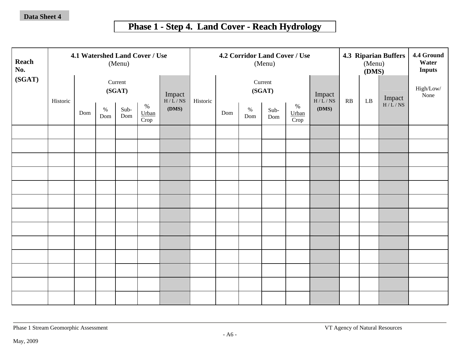# **Phase 1 - Step 4. Land Cover - Reach Hydrology**

| Reach<br>No. |          |     |             | 4.1 Watershed Land Cover / Use<br>(Menu) |                       |                  |          |     |             | (Menu)            | 4.2 Corridor Land Cover / Use |                  | <b>4.3 Riparian Buffers</b><br>(Menu)<br>(DMS) |    |        | 4.4 Ground<br>Water<br><b>Inputs</b> |
|--------------|----------|-----|-------------|------------------------------------------|-----------------------|------------------|----------|-----|-------------|-------------------|-------------------------------|------------------|------------------------------------------------|----|--------|--------------------------------------|
| (SGAT)       | Historic |     |             | Current<br>(SGAT)                        |                       | Impact<br>H/L/NS | Historic |     |             | Current<br>(SGAT) |                               | Impact<br>H/L/NS | RB                                             | LB | Impact | High/Low/<br>None                    |
|              |          | Dom | $\%$<br>Dom | Sub-<br>Dom                              | $\%$<br>Urban<br>Crop | (DMS)            |          | Dom | $\%$<br>Dom | Sub-<br>Dom       | $\%$<br>Urban<br>Crop         | (DMS)            |                                                |    | H/L/NS |                                      |
|              |          |     |             |                                          |                       |                  |          |     |             |                   |                               |                  |                                                |    |        |                                      |
|              |          |     |             |                                          |                       |                  |          |     |             |                   |                               |                  |                                                |    |        |                                      |
|              |          |     |             |                                          |                       |                  |          |     |             |                   |                               |                  |                                                |    |        |                                      |
|              |          |     |             |                                          |                       |                  |          |     |             |                   |                               |                  |                                                |    |        |                                      |
|              |          |     |             |                                          |                       |                  |          |     |             |                   |                               |                  |                                                |    |        |                                      |
|              |          |     |             |                                          |                       |                  |          |     |             |                   |                               |                  |                                                |    |        |                                      |
|              |          |     |             |                                          |                       |                  |          |     |             |                   |                               |                  |                                                |    |        |                                      |
|              |          |     |             |                                          |                       |                  |          |     |             |                   |                               |                  |                                                |    |        |                                      |
|              |          |     |             |                                          |                       |                  |          |     |             |                   |                               |                  |                                                |    |        |                                      |
|              |          |     |             |                                          |                       |                  |          |     |             |                   |                               |                  |                                                |    |        |                                      |
|              |          |     |             |                                          |                       |                  |          |     |             |                   |                               |                  |                                                |    |        |                                      |
|              |          |     |             |                                          |                       |                  |          |     |             |                   |                               |                  |                                                |    |        |                                      |
|              |          |     |             |                                          |                       |                  |          |     |             |                   |                               |                  |                                                |    |        |                                      |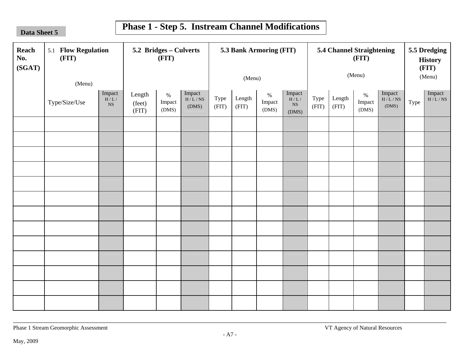**Sheet 5**

# **Phase 1 - Step 5. Instream Channel Modifications**

| Reach<br>No.<br>(SGAT) | 5.1 Flow Regulation<br>(FIT)<br>(Menu) |                                      | 5.2 Bridges - Culverts    | (FIT)                   |                           |               | (Menu)          | 5.3 Bank Armoring (FIT) |                                                                              | 5.4 Channel Straightening<br>(FIT)<br>(Menu) |                 |                         |                           | 5.5 Dredging<br><b>History</b><br>(FIT)<br>(Menu) |                 |
|------------------------|----------------------------------------|--------------------------------------|---------------------------|-------------------------|---------------------------|---------------|-----------------|-------------------------|------------------------------------------------------------------------------|----------------------------------------------|-----------------|-------------------------|---------------------------|---------------------------------------------------|-----------------|
|                        | Type/Size/Use                          | Impact<br>$\rm H/L$ /<br>$_{\rm NS}$ | Length<br>(feet)<br>(FIT) | $\%$<br>Impact<br>(DMS) | Impact<br>H/L/NS<br>(DMS) | Type<br>(FIT) | Length<br>(FIT) | $\%$<br>Impact<br>(DMS) | $\underset{\mathrm{H/L}}{\mathrm{Im} \mathrm{pact}}$<br>$_{\rm NS}$<br>(DMS) | Type<br>(FIT)                                | Length<br>(FIT) | $\%$<br>Impact<br>(DMS) | Impact<br>H/L/NS<br>(DMS) | Type                                              | Impact $H/L/NS$ |
|                        |                                        |                                      |                           |                         |                           |               |                 |                         |                                                                              |                                              |                 |                         |                           |                                                   |                 |
|                        |                                        |                                      |                           |                         |                           |               |                 |                         |                                                                              |                                              |                 |                         |                           |                                                   |                 |
|                        |                                        |                                      |                           |                         |                           |               |                 |                         |                                                                              |                                              |                 |                         |                           |                                                   |                 |
|                        |                                        |                                      |                           |                         |                           |               |                 |                         |                                                                              |                                              |                 |                         |                           |                                                   |                 |
|                        |                                        |                                      |                           |                         |                           |               |                 |                         |                                                                              |                                              |                 |                         |                           |                                                   |                 |
|                        |                                        |                                      |                           |                         |                           |               |                 |                         |                                                                              |                                              |                 |                         |                           |                                                   |                 |
|                        |                                        |                                      |                           |                         |                           |               |                 |                         |                                                                              |                                              |                 |                         |                           |                                                   |                 |
|                        |                                        |                                      |                           |                         |                           |               |                 |                         |                                                                              |                                              |                 |                         |                           |                                                   |                 |
|                        |                                        |                                      |                           |                         |                           |               |                 |                         |                                                                              |                                              |                 |                         |                           |                                                   |                 |
|                        |                                        |                                      |                           |                         |                           |               |                 |                         |                                                                              |                                              |                 |                         |                           |                                                   |                 |
|                        |                                        |                                      |                           |                         |                           |               |                 |                         |                                                                              |                                              |                 |                         |                           |                                                   |                 |
|                        |                                        |                                      |                           |                         |                           |               |                 |                         |                                                                              |                                              |                 |                         |                           |                                                   |                 |
|                        |                                        |                                      |                           |                         |                           |               |                 |                         |                                                                              |                                              |                 |                         |                           |                                                   |                 |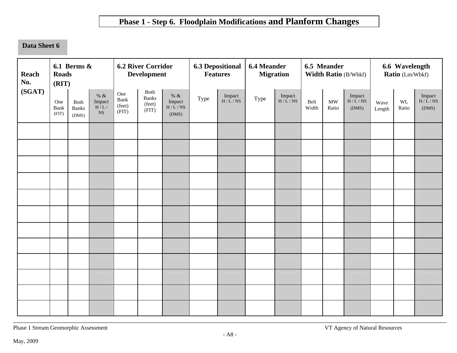## **Phase 1 - Step 6. Floodplain Modifications and Planform Changes**

## **Data Sheet 6**

| Reach<br>No. | <b>Roads</b><br>(RIT) | 6.1 Berms $\&$                |                                       |                                | <b>6.2 River Corridor</b><br><b>Development</b> |                                           |      | <b>6.3 Depositional</b><br><b>Features</b> | <b>6.4 Meander</b><br><b>Migration</b> |                  |               | 6.5 Meander        | Width Ratio (B/Wbkf)      | 6.6 Wavelength<br>Ratio (Lm/Wbkf) |             |                           |
|--------------|-----------------------|-------------------------------|---------------------------------------|--------------------------------|-------------------------------------------------|-------------------------------------------|------|--------------------------------------------|----------------------------------------|------------------|---------------|--------------------|---------------------------|-----------------------------------|-------------|---------------------------|
| (SGAT)       | One<br>Bank<br>(FIT)  | Both<br><b>Banks</b><br>(DMS) | $\%$ &<br>Impact<br>H/L/<br><b>NS</b> | One<br>Bank<br>(feet)<br>(FIT) | Both<br><b>Banks</b><br>(feet)<br>(FIT)         | $\%$ &<br>Impact<br>$\rm H/L/NS$<br>(DMS) | Type | Impact<br>H/L/NS                           | Type                                   | Impact<br>H/L/NS | Belt<br>Width | <b>MW</b><br>Ratio | Impact<br>H/L/NS<br>(DMS) | Wave<br>Length                    | WL<br>Ratio | Impact<br>H/L/NS<br>(DMS) |
|              |                       |                               |                                       |                                |                                                 |                                           |      |                                            |                                        |                  |               |                    |                           |                                   |             |                           |
|              |                       |                               |                                       |                                |                                                 |                                           |      |                                            |                                        |                  |               |                    |                           |                                   |             |                           |
|              |                       |                               |                                       |                                |                                                 |                                           |      |                                            |                                        |                  |               |                    |                           |                                   |             |                           |
|              |                       |                               |                                       |                                |                                                 |                                           |      |                                            |                                        |                  |               |                    |                           |                                   |             |                           |
|              |                       |                               |                                       |                                |                                                 |                                           |      |                                            |                                        |                  |               |                    |                           |                                   |             |                           |
|              |                       |                               |                                       |                                |                                                 |                                           |      |                                            |                                        |                  |               |                    |                           |                                   |             |                           |
|              |                       |                               |                                       |                                |                                                 |                                           |      |                                            |                                        |                  |               |                    |                           |                                   |             |                           |
|              |                       |                               |                                       |                                |                                                 |                                           |      |                                            |                                        |                  |               |                    |                           |                                   |             |                           |
|              |                       |                               |                                       |                                |                                                 |                                           |      |                                            |                                        |                  |               |                    |                           |                                   |             |                           |
|              |                       |                               |                                       |                                |                                                 |                                           |      |                                            |                                        |                  |               |                    |                           |                                   |             |                           |
|              |                       |                               |                                       |                                |                                                 |                                           |      |                                            |                                        |                  |               |                    |                           |                                   |             |                           |
|              |                       |                               |                                       |                                |                                                 |                                           |      |                                            |                                        |                  |               |                    |                           |                                   |             |                           |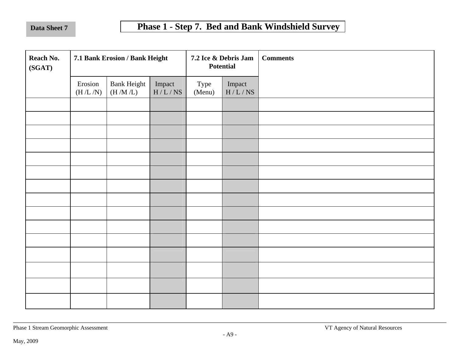| Reach No.<br>(SGAT) |                    | 7.1 Bank Erosion / Bank Height |                  |                | 7.2 Ice & Debris Jam<br><b>Potential</b> | <b>Comments</b> |
|---------------------|--------------------|--------------------------------|------------------|----------------|------------------------------------------|-----------------|
|                     | Erosion<br>(H/L/N) | <b>Bank Height</b><br>(H/M/L)  | Impact<br>H/L/NS | Type<br>(Menu) | Impact<br>H/L/NS                         |                 |
|                     |                    |                                |                  |                |                                          |                 |
|                     |                    |                                |                  |                |                                          |                 |
|                     |                    |                                |                  |                |                                          |                 |
|                     |                    |                                |                  |                |                                          |                 |
|                     |                    |                                |                  |                |                                          |                 |
|                     |                    |                                |                  |                |                                          |                 |
|                     |                    |                                |                  |                |                                          |                 |
|                     |                    |                                |                  |                |                                          |                 |
|                     |                    |                                |                  |                |                                          |                 |
|                     |                    |                                |                  |                |                                          |                 |
|                     |                    |                                |                  |                |                                          |                 |
|                     |                    |                                |                  |                |                                          |                 |
|                     |                    |                                |                  |                |                                          |                 |
|                     |                    |                                |                  |                |                                          |                 |
|                     |                    |                                |                  |                |                                          |                 |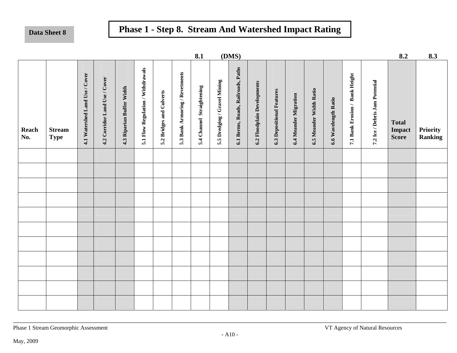# **Data Sheet 8 Phase 1 - Step 8. Stream And Watershed Impact Rating**

|              |                              |                                |                               |                           |                                   |                          |                                | 8.1                       |                              | (DMS)                              |                             |                                  |                       |                         |                      |                                |                                | 8.2                                    | 8.3                        |
|--------------|------------------------------|--------------------------------|-------------------------------|---------------------------|-----------------------------------|--------------------------|--------------------------------|---------------------------|------------------------------|------------------------------------|-----------------------------|----------------------------------|-----------------------|-------------------------|----------------------|--------------------------------|--------------------------------|----------------------------------------|----------------------------|
| Reach<br>No. | <b>Stream</b><br><b>Type</b> | 4.1 Watershed Land Use / Cover | 4.2 Corridor Land Use / Cover | 4.3 Riparian Buffer Width | 5.1 Flow Regulation / Withdrawals | 5.2 Bridges and Culverts | 5.3 Bank Armoring / Revetments | 5.4 Channel Straightening | 5.5 Dredging / Gravel Mining | 6.1 Berms, Roads, Railroads, Paths | 6.2 Floodplain Developments | <b>6.3 Depositional Features</b> | 6.4 Meander Migration | 6.5 Meander Width Ratio | 6.6 Wavelength Ratio | 7.1 Bank Erosion / Bank Height | 7.2 Ice / Debris Jam Potential | <b>Total</b><br>Impact<br><b>Score</b> | Priority<br><b>Ranking</b> |
|              |                              |                                |                               |                           |                                   |                          |                                |                           |                              |                                    |                             |                                  |                       |                         |                      |                                |                                |                                        |                            |
|              |                              |                                |                               |                           |                                   |                          |                                |                           |                              |                                    |                             |                                  |                       |                         |                      |                                |                                |                                        |                            |
|              |                              |                                |                               |                           |                                   |                          |                                |                           |                              |                                    |                             |                                  |                       |                         |                      |                                |                                |                                        |                            |
|              |                              |                                |                               |                           |                                   |                          |                                |                           |                              |                                    |                             |                                  |                       |                         |                      |                                |                                |                                        |                            |
|              |                              |                                |                               |                           |                                   |                          |                                |                           |                              |                                    |                             |                                  |                       |                         |                      |                                |                                |                                        |                            |
|              |                              |                                |                               |                           |                                   |                          |                                |                           |                              |                                    |                             |                                  |                       |                         |                      |                                |                                |                                        |                            |
|              |                              |                                |                               |                           |                                   |                          |                                |                           |                              |                                    |                             |                                  |                       |                         |                      |                                |                                |                                        |                            |
|              |                              |                                |                               |                           |                                   |                          |                                |                           |                              |                                    |                             |                                  |                       |                         |                      |                                |                                |                                        |                            |
|              |                              |                                |                               |                           |                                   |                          |                                |                           |                              |                                    |                             |                                  |                       |                         |                      |                                |                                |                                        |                            |
|              |                              |                                |                               |                           |                                   |                          |                                |                           |                              |                                    |                             |                                  |                       |                         |                      |                                |                                |                                        |                            |
|              |                              |                                |                               |                           |                                   |                          |                                |                           |                              |                                    |                             |                                  |                       |                         |                      |                                |                                |                                        |                            |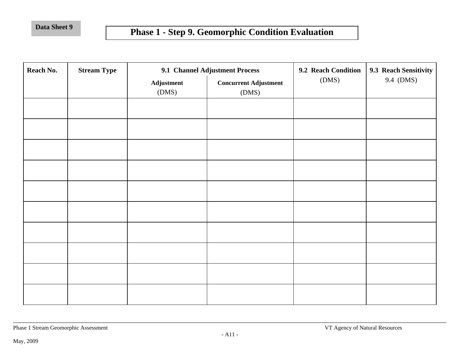# **Phase 1 - Step 9. Geomorphic Condition Evaluation**

| Reach No. | <b>Stream Type</b> |                     | 9.1 Channel Adjustment Process        | 9.2 Reach Condition | 9.3 Reach Sensitivity |
|-----------|--------------------|---------------------|---------------------------------------|---------------------|-----------------------|
|           |                    | Adjustment<br>(DMS) | <b>Concurrent Adjustment</b><br>(DMS) | (DMS)               | 9.4 (DMS)             |
|           |                    |                     |                                       |                     |                       |
|           |                    |                     |                                       |                     |                       |
|           |                    |                     |                                       |                     |                       |
|           |                    |                     |                                       |                     |                       |
|           |                    |                     |                                       |                     |                       |
|           |                    |                     |                                       |                     |                       |
|           |                    |                     |                                       |                     |                       |
|           |                    |                     |                                       |                     |                       |
|           |                    |                     |                                       |                     |                       |
|           |                    |                     |                                       |                     |                       |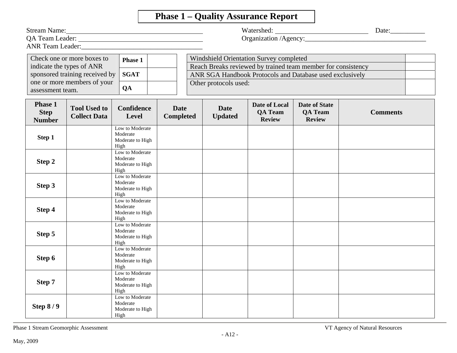# **Phase 1 – Quality Assurance Report**

| <b>ANR Team Leader:</b>                        | Stream Name: 2008                                                                                                        |                                                         |                                 |                               |                                                                                                                                                                     |                                                         | Watershed: Date: Date:<br>Organization /Agency: |
|------------------------------------------------|--------------------------------------------------------------------------------------------------------------------------|---------------------------------------------------------|---------------------------------|-------------------------------|---------------------------------------------------------------------------------------------------------------------------------------------------------------------|---------------------------------------------------------|-------------------------------------------------|
| assessment team.                               | Check one or more boxes to<br>indicate the types of ANR<br>sponsored training received by<br>one or more members of your | Phase 1<br><b>SGAT</b><br>QA                            |                                 | Other protocols used:         | Windshield Orientation Survey completed<br>Reach Breaks reviewed by trained team member for consistency<br>ANR SGA Handbook Protocols and Database used exclusively |                                                         |                                                 |
| <b>Phase 1</b><br><b>Step</b><br><b>Number</b> | <b>Tool Used to</b><br><b>Collect Data</b>                                                                               | Confidence<br>Level                                     | <b>Date</b><br><b>Completed</b> | <b>Date</b><br><b>Updated</b> | Date of Local<br><b>QA Team</b><br><b>Review</b>                                                                                                                    | <b>Date of State</b><br><b>QA Team</b><br><b>Review</b> | <b>Comments</b>                                 |
| Step 1                                         |                                                                                                                          | Low to Moderate<br>Moderate<br>Moderate to High<br>High |                                 |                               |                                                                                                                                                                     |                                                         |                                                 |
| Step 2                                         |                                                                                                                          | Low to Moderate<br>Moderate<br>Moderate to High<br>High |                                 |                               |                                                                                                                                                                     |                                                         |                                                 |
| Step 3                                         |                                                                                                                          | Low to Moderate<br>Moderate<br>Moderate to High<br>High |                                 |                               |                                                                                                                                                                     |                                                         |                                                 |
| Step 4                                         |                                                                                                                          | Low to Moderate<br>Moderate<br>Moderate to High<br>High |                                 |                               |                                                                                                                                                                     |                                                         |                                                 |
| Step 5                                         |                                                                                                                          | Low to Moderate<br>Moderate<br>Moderate to High<br>High |                                 |                               |                                                                                                                                                                     |                                                         |                                                 |
| Step 6                                         |                                                                                                                          | Low to Moderate<br>Moderate<br>Moderate to High<br>High |                                 |                               |                                                                                                                                                                     |                                                         |                                                 |
| Step 7                                         |                                                                                                                          | Low to Moderate<br>Moderate<br>Moderate to High<br>High |                                 |                               |                                                                                                                                                                     |                                                         |                                                 |
| Step $8/9$                                     |                                                                                                                          | Low to Moderate<br>Moderate<br>Moderate to High<br>High |                                 |                               |                                                                                                                                                                     |                                                         |                                                 |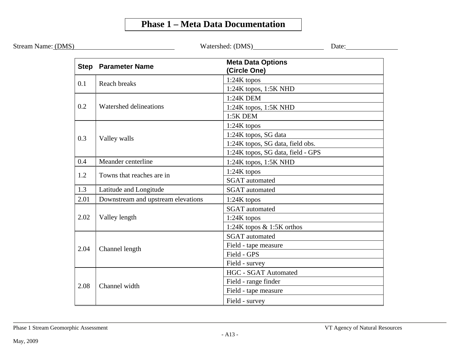## **Phase 1 – Meta Data Documentation**

|      |                                    |                                          | Date: |  |  |  |  |  |
|------|------------------------------------|------------------------------------------|-------|--|--|--|--|--|
|      | <b>Step Parameter Name</b>         | <b>Meta Data Options</b><br>(Circle One) |       |  |  |  |  |  |
| 0.1  | <b>Reach breaks</b>                | $1:24K$ topos                            |       |  |  |  |  |  |
|      |                                    | 1:24K topos, 1:5K NHD                    |       |  |  |  |  |  |
|      |                                    | 1:24K DEM                                |       |  |  |  |  |  |
| 0.2  | Watershed delineations             | $1:24K$ topos, $1:5K$ NHD                |       |  |  |  |  |  |
|      |                                    | $1:5K$ DEM                               |       |  |  |  |  |  |
|      |                                    | $1:24K$ topos                            |       |  |  |  |  |  |
| 0.3  | Valley walls                       | 1:24K topos, SG data                     |       |  |  |  |  |  |
|      |                                    | 1:24K topos, SG data, field obs.         |       |  |  |  |  |  |
|      |                                    | 1:24K topos, SG data, field - GPS        |       |  |  |  |  |  |
| 0.4  | Meander centerline                 | $1:24K$ topos, $1:5K$ NHD                |       |  |  |  |  |  |
| 1.2  | Towns that reaches are in          | $1:24K$ topos                            |       |  |  |  |  |  |
|      |                                    | <b>SGAT</b> automated                    |       |  |  |  |  |  |
| 1.3  | Latitude and Longitude             | <b>SGAT</b> automated                    |       |  |  |  |  |  |
| 2.01 | Downstream and upstream elevations | $1:24K$ topos                            |       |  |  |  |  |  |
|      |                                    | <b>SGAT</b> automated                    |       |  |  |  |  |  |
| 2.02 | Valley length                      | 1:24K topos                              |       |  |  |  |  |  |
|      |                                    | 1:24K topos & 1:5K orthos                |       |  |  |  |  |  |
|      |                                    | <b>SGAT</b> automated                    |       |  |  |  |  |  |
| 2.04 | Channel length                     | Field - tape measure                     |       |  |  |  |  |  |
|      |                                    | Field - GPS                              |       |  |  |  |  |  |
|      |                                    | Field - survey                           |       |  |  |  |  |  |
|      |                                    | <b>HGC - SGAT Automated</b>              |       |  |  |  |  |  |
| 2.08 | Channel width                      | Field - range finder                     |       |  |  |  |  |  |
|      |                                    | Field - tape measure                     |       |  |  |  |  |  |
|      |                                    | Field - survey                           |       |  |  |  |  |  |

Stream Name: (DM

Phase 1 Stream Geomorphic Assessment VT Agency of Natural Resources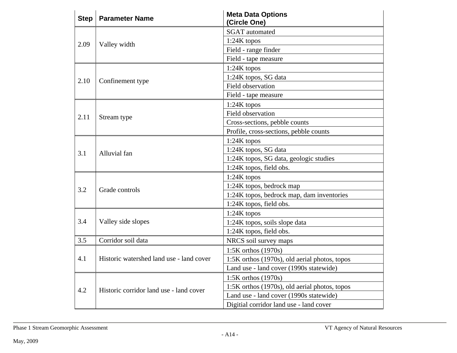| <b>Step</b> | <b>Parameter Name</b>                    | <b>Meta Data Options</b><br>(Circle One)      |  |  |
|-------------|------------------------------------------|-----------------------------------------------|--|--|
|             |                                          | <b>SGAT</b> automated                         |  |  |
| 2.09        | Valley width                             | 1:24K topos                                   |  |  |
|             |                                          | Field - range finder                          |  |  |
|             |                                          | Field - tape measure                          |  |  |
|             |                                          | $1:24K$ topos                                 |  |  |
| 2.10        | Confinement type                         | 1:24K topos, SG data                          |  |  |
|             |                                          | <b>Field observation</b>                      |  |  |
|             |                                          | Field - tape measure                          |  |  |
|             |                                          | $1:24K$ topos                                 |  |  |
| 2.11        | Stream type                              | Field observation                             |  |  |
|             |                                          | Cross-sections, pebble counts                 |  |  |
|             |                                          | Profile, cross-sections, pebble counts        |  |  |
|             | Alluvial fan                             | $1:24K$ topos                                 |  |  |
| 3.1         |                                          | 1:24K topos, SG data                          |  |  |
|             |                                          | 1:24K topos, SG data, geologic studies        |  |  |
|             |                                          | 1:24K topos, field obs.                       |  |  |
|             |                                          | $1:24K$ topos                                 |  |  |
| 3.2         | Grade controls                           | 1:24K topos, bedrock map                      |  |  |
|             |                                          | 1:24K topos, bedrock map, dam inventories     |  |  |
|             |                                          | 1:24K topos, field obs.                       |  |  |
|             |                                          | 1:24K topos                                   |  |  |
| 3.4         | Valley side slopes                       | 1:24K topos, soils slope data                 |  |  |
|             |                                          | 1:24K topos, field obs.                       |  |  |
| 3.5         | Corridor soil data                       | NRCS soil survey maps                         |  |  |
|             |                                          | 1:5K orthos (1970s)                           |  |  |
| 4.1         | Historic watershed land use - land cover | 1:5K orthos (1970s), old aerial photos, topos |  |  |
|             |                                          | Land use - land cover (1990s statewide)       |  |  |
|             |                                          | 1:5K orthos $(1970s)$                         |  |  |
| 4.2         | Historic corridor land use - land cover  | 1:5K orthos (1970s), old aerial photos, topos |  |  |
|             |                                          | Land use - land cover (1990s statewide)       |  |  |
|             |                                          | Digitial corridor land use - land cover       |  |  |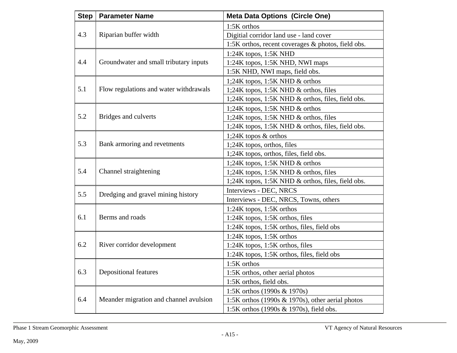| <b>Step</b> | <b>Parameter Name</b>                  | <b>Meta Data Options (Circle One)</b>               |  |  |
|-------------|----------------------------------------|-----------------------------------------------------|--|--|
|             |                                        | 1:5K orthos                                         |  |  |
| 4.3         | Riparian buffer width                  | Digitial corridor land use - land cover             |  |  |
|             |                                        | 1:5K orthos, recent coverages & photos, field obs.  |  |  |
|             |                                        | $1:24K$ topos, $1:5K$ NHD                           |  |  |
| 4.4         | Groundwater and small tributary inputs | 1:24K topos, 1:5K NHD, NWI maps                     |  |  |
|             |                                        | 1:5K NHD, NWI maps, field obs.                      |  |  |
|             |                                        | 1;24K topos, 1:5K NHD $&$ orthos                    |  |  |
| 5.1         | Flow regulations and water withdrawals | 1;24K topos, 1:5K NHD & orthos, files               |  |  |
|             |                                        | 1;24K topos, 1:5K NHD & orthos, files, field obs.   |  |  |
|             |                                        | 1;24K topos, 1:5K NHD & orthos                      |  |  |
| 5.2         | Bridges and culverts                   | 1;24K topos, 1:5K NHD & orthos, files               |  |  |
|             |                                        | 1;24K topos, 1:5K NHD & orthos, files, field obs.   |  |  |
|             | Bank armoring and revetments           | 1;24K topos $&$ orthos                              |  |  |
| 5.3         |                                        | 1;24K topos, orthos, files                          |  |  |
|             |                                        | 1;24K topos, orthos, files, field obs.              |  |  |
|             |                                        | 1;24K topos, 1:5K NHD $&$ orthos                    |  |  |
| 5.4         | Channel straightening                  | 1;24K topos, 1:5K NHD $\&$ orthos, files            |  |  |
|             |                                        | 1;24K topos, 1:5K NHD & orthos, files, field obs.   |  |  |
| 5.5         | Dredging and gravel mining history     | Interviews - DEC, NRCS                              |  |  |
|             |                                        | Interviews - DEC, NRCS, Towns, others               |  |  |
|             |                                        | $1:24K$ topos, $1:5K$ orthos                        |  |  |
| 6.1         | Berms and roads                        | 1:24K topos, 1:5K orthos, files                     |  |  |
|             |                                        | 1:24K topos, 1:5K orthos, files, field obs          |  |  |
|             |                                        | $1:24K$ topos, $1:5K$ orthos                        |  |  |
| 6.2         | River corridor development             | 1:24K topos, 1:5K orthos, files                     |  |  |
|             |                                        | 1:24K topos, 1:5K orthos, files, field obs          |  |  |
|             |                                        | 1:5K orthos                                         |  |  |
| 6.3         | <b>Depositional features</b>           | 1:5K orthos, other aerial photos                    |  |  |
|             |                                        | 1:5K orthos, field obs.                             |  |  |
|             |                                        | 1:5K orthos (1990s & 1970s)                         |  |  |
| 6.4         | Meander migration and channel avulsion | 1:5K orthos (1990s $\&$ 1970s), other aerial photos |  |  |
|             |                                        | 1:5K orthos (1990s & 1970s), field obs.             |  |  |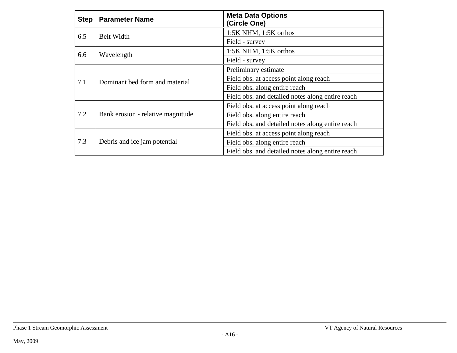| <b>Step</b> | <b>Parameter Name</b>             | <b>Meta Data Options</b><br>(Circle One)         |  |  |  |
|-------------|-----------------------------------|--------------------------------------------------|--|--|--|
| 6.5         | <b>Belt Width</b>                 | 1:5K NHM, 1:5K orthos                            |  |  |  |
|             |                                   | Field - survey                                   |  |  |  |
| 6.6         | Wavelength                        | 1:5K NHM, 1:5K orthos                            |  |  |  |
|             |                                   | Field - survey                                   |  |  |  |
|             |                                   | Preliminary estimate                             |  |  |  |
| 7.1         | Dominant bed form and material    | Field obs. at access point along reach           |  |  |  |
|             |                                   | Field obs. along entire reach                    |  |  |  |
|             |                                   | Field obs. and detailed notes along entire reach |  |  |  |
|             |                                   | Field obs. at access point along reach           |  |  |  |
| 7.2         | Bank erosion - relative magnitude | Field obs. along entire reach                    |  |  |  |
|             |                                   | Field obs. and detailed notes along entire reach |  |  |  |
|             |                                   | Field obs. at access point along reach           |  |  |  |
| 7.3         | Debris and ice jam potential      | Field obs. along entire reach                    |  |  |  |
|             |                                   | Field obs. and detailed notes along entire reach |  |  |  |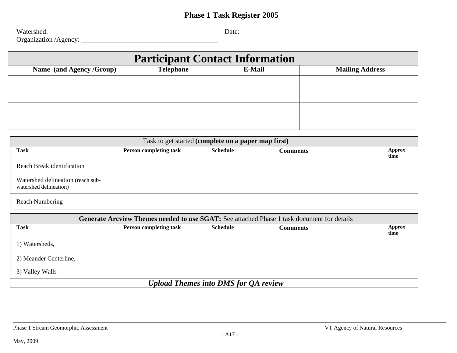## **Phase 1 Task Register 2005**

Watershed: Date:  $\Box$  Date:  $\Box$ 

Organization /Agency: a

| <b>Participant Contact Information</b> |                  |        |                        |  |  |  |
|----------------------------------------|------------------|--------|------------------------|--|--|--|
| Name (and Agency /Group)               | <b>Telephone</b> | E-Mail | <b>Mailing Address</b> |  |  |  |
|                                        |                  |        |                        |  |  |  |
|                                        |                  |        |                        |  |  |  |
|                                        |                  |        |                        |  |  |  |
|                                        |                  |        |                        |  |  |  |

| Task to get started (complete on a paper map first)         |                               |                 |                 |                |  |  |
|-------------------------------------------------------------|-------------------------------|-----------------|-----------------|----------------|--|--|
| <b>Task</b>                                                 | <b>Person completing task</b> | <b>Schedule</b> | <b>Comments</b> | Approx<br>time |  |  |
| Reach Break identification                                  |                               |                 |                 |                |  |  |
| Watershed delineation (reach sub-<br>watershed delineation) |                               |                 |                 |                |  |  |
| <b>Reach Numbering</b>                                      |                               |                 |                 |                |  |  |

| <b>Generate Arcview Themes needed to use SGAT:</b> See attached Phase 1 task document for details |                               |                 |                 |                |  |  |
|---------------------------------------------------------------------------------------------------|-------------------------------|-----------------|-----------------|----------------|--|--|
| <b>Task</b>                                                                                       | <b>Person completing task</b> | <b>Schedule</b> | <b>Comments</b> | Approx<br>time |  |  |
| 1) Watersheds,                                                                                    |                               |                 |                 |                |  |  |
| 2) Meander Centerline,                                                                            |                               |                 |                 |                |  |  |
| 3) Valley Walls                                                                                   |                               |                 |                 |                |  |  |
| <b>Upload Themes into DMS for QA review</b>                                                       |                               |                 |                 |                |  |  |

Phase 1 Stream Geomorphic Assessment **VT Agency of Natural Resources**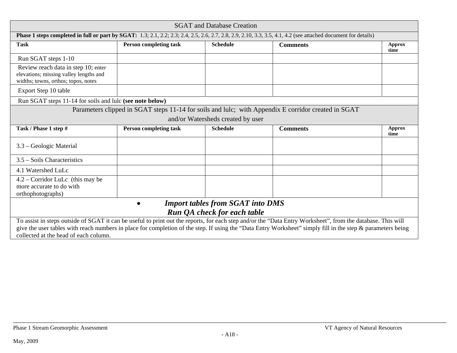| <b>SGAT</b> and Database Creation                                                                                                                                                                                                                                                                                                                                   |                               |                                         |                                                                                                     |                       |  |  |
|---------------------------------------------------------------------------------------------------------------------------------------------------------------------------------------------------------------------------------------------------------------------------------------------------------------------------------------------------------------------|-------------------------------|-----------------------------------------|-----------------------------------------------------------------------------------------------------|-----------------------|--|--|
| Phase 1 steps completed in full or part by SGAT: 1.3; 2.1, 2.2; 2.3; 2.4, 2.5, 2.6, 2.7, 2.8, 2.9, 2.10, 3.3, 3.5, 4.1, 4.2 (see attached document for details)                                                                                                                                                                                                     |                               |                                         |                                                                                                     |                       |  |  |
| <b>Task</b>                                                                                                                                                                                                                                                                                                                                                         | <b>Person completing task</b> | <b>Schedule</b>                         | <b>Comments</b>                                                                                     | <b>Approx</b><br>time |  |  |
| Run SGAT steps 1-10                                                                                                                                                                                                                                                                                                                                                 |                               |                                         |                                                                                                     |                       |  |  |
| Review reach data in step 10; enter<br>elevations; missing valley lengths and<br>widths; towns, orthos; topos, notes                                                                                                                                                                                                                                                |                               |                                         |                                                                                                     |                       |  |  |
| Export Step 10 table                                                                                                                                                                                                                                                                                                                                                |                               |                                         |                                                                                                     |                       |  |  |
| Run SGAT steps 11-14 for soils and lulc (see note below)                                                                                                                                                                                                                                                                                                            |                               |                                         |                                                                                                     |                       |  |  |
|                                                                                                                                                                                                                                                                                                                                                                     |                               |                                         | Parameters clipped in SGAT steps 11-14 for soils and lulc; with Appendix E corridor created in SGAT |                       |  |  |
|                                                                                                                                                                                                                                                                                                                                                                     |                               | and/or Watersheds created by user       |                                                                                                     |                       |  |  |
| Task / Phase 1 step #                                                                                                                                                                                                                                                                                                                                               | <b>Person completing task</b> | <b>Schedule</b>                         | <b>Comments</b>                                                                                     | <b>Approx</b><br>time |  |  |
| 3.3 – Geologic Material                                                                                                                                                                                                                                                                                                                                             |                               |                                         |                                                                                                     |                       |  |  |
| $3.5$ – Soils Characteristics                                                                                                                                                                                                                                                                                                                                       |                               |                                         |                                                                                                     |                       |  |  |
| 4.1 Watershed LuLc                                                                                                                                                                                                                                                                                                                                                  |                               |                                         |                                                                                                     |                       |  |  |
| $4.2$ – Corridor LuLc (this may be<br>more accurate to do with<br>orthophotographs)                                                                                                                                                                                                                                                                                 |                               |                                         |                                                                                                     |                       |  |  |
|                                                                                                                                                                                                                                                                                                                                                                     | $\bullet$                     | <b>Import tables from SGAT into DMS</b> |                                                                                                     |                       |  |  |
| Run QA check for each table                                                                                                                                                                                                                                                                                                                                         |                               |                                         |                                                                                                     |                       |  |  |
| To assist in steps outside of SGAT it can be useful to print out the reports, for each step and/or the "Data Entry Worksheet", from the database. This will<br>give the user tables with reach numbers in place for completion of the step. If using the "Data Entry Worksheet" simply fill in the step & parameters being<br>collected at the head of each column. |                               |                                         |                                                                                                     |                       |  |  |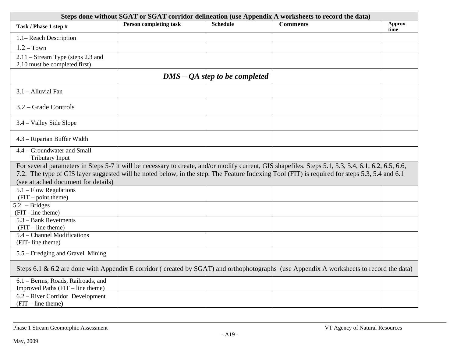| Steps done without SGAT or SGAT corridor delineation (use Appendix A worksheets to record the data) |                               |                                 |                                                                                                                                                                                                                                                                                                      |                |  |  |
|-----------------------------------------------------------------------------------------------------|-------------------------------|---------------------------------|------------------------------------------------------------------------------------------------------------------------------------------------------------------------------------------------------------------------------------------------------------------------------------------------------|----------------|--|--|
| Task / Phase 1 step #                                                                               | <b>Person completing task</b> | <b>Schedule</b>                 | <b>Comments</b>                                                                                                                                                                                                                                                                                      | Approx<br>time |  |  |
| 1.1– Reach Description                                                                              |                               |                                 |                                                                                                                                                                                                                                                                                                      |                |  |  |
| $1.2 - Town$                                                                                        |                               |                                 |                                                                                                                                                                                                                                                                                                      |                |  |  |
| $2.11 -$ Stream Type (steps 2.3 and<br>2.10 must be completed first)                                |                               |                                 |                                                                                                                                                                                                                                                                                                      |                |  |  |
|                                                                                                     |                               | $DMS - QA$ step to be completed |                                                                                                                                                                                                                                                                                                      |                |  |  |
| 3.1 - Alluvial Fan                                                                                  |                               |                                 |                                                                                                                                                                                                                                                                                                      |                |  |  |
| 3.2 – Grade Controls                                                                                |                               |                                 |                                                                                                                                                                                                                                                                                                      |                |  |  |
| 3.4 – Valley Side Slope                                                                             |                               |                                 |                                                                                                                                                                                                                                                                                                      |                |  |  |
| 4.3 – Riparian Buffer Width                                                                         |                               |                                 |                                                                                                                                                                                                                                                                                                      |                |  |  |
| 4.4 – Groundwater and Small<br><b>Tributary Input</b>                                               |                               |                                 |                                                                                                                                                                                                                                                                                                      |                |  |  |
| (see attached document for details)                                                                 |                               |                                 | For several parameters in Steps 5-7 it will be necessary to create, and/or modify current, GIS shapefiles. Steps 5.1, 5.3, 5.4, 6.1, 6.2, 6.5, 6.6,<br>7.2. The type of GIS layer suggested will be noted below, in the step. The Feature Indexing Tool (FIT) is required for steps 5.3, 5.4 and 6.1 |                |  |  |
| $5.1$ – Flow Regulations<br>(FIT – point theme)                                                     |                               |                                 |                                                                                                                                                                                                                                                                                                      |                |  |  |
| $5.2$ - Bridges<br>(FIT-line theme)                                                                 |                               |                                 |                                                                                                                                                                                                                                                                                                      |                |  |  |
| 5.3 – Bank Revetments<br>$(FIT - line theme)$                                                       |                               |                                 |                                                                                                                                                                                                                                                                                                      |                |  |  |
| 5.4 – Channel Modifications<br>(FIT-line theme)                                                     |                               |                                 |                                                                                                                                                                                                                                                                                                      |                |  |  |
| 5.5 – Dredging and Gravel Mining                                                                    |                               |                                 |                                                                                                                                                                                                                                                                                                      |                |  |  |
|                                                                                                     |                               |                                 | Steps 6.1 & 6.2 are done with Appendix E corridor (created by SGAT) and orthophotographs (use Appendix A worksheets to record the data)                                                                                                                                                              |                |  |  |
| 6.1 – Berms, Roads, Railroads, and<br>Improved Paths (FIT – line theme)                             |                               |                                 |                                                                                                                                                                                                                                                                                                      |                |  |  |
| 6.2 – River Corridor Development<br>$(FIT - line theme)$                                            |                               |                                 |                                                                                                                                                                                                                                                                                                      |                |  |  |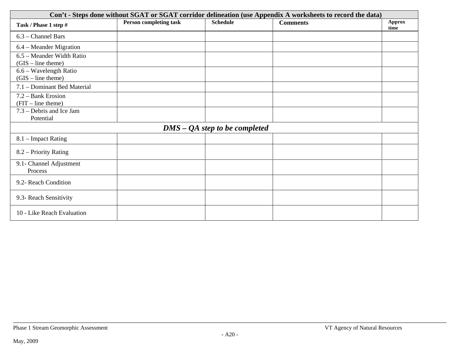| Con't - Steps done without SGAT or SGAT corridor delineation (use Appendix A worksheets to record the data) |                               |                                 |                 |                       |  |  |
|-------------------------------------------------------------------------------------------------------------|-------------------------------|---------------------------------|-----------------|-----------------------|--|--|
| Task / Phase 1 step #                                                                                       | <b>Person completing task</b> | <b>Schedule</b>                 | <b>Comments</b> | <b>Approx</b><br>time |  |  |
| 6.3 - Channel Bars                                                                                          |                               |                                 |                 |                       |  |  |
| 6.4 – Meander Migration                                                                                     |                               |                                 |                 |                       |  |  |
| 6.5 – Meander Width Ratio<br>$(GIS - line them)$                                                            |                               |                                 |                 |                       |  |  |
| 6.6 – Wavelength Ratio<br>$(GIS - line theme)$                                                              |                               |                                 |                 |                       |  |  |
| 7.1 - Dominant Bed Material                                                                                 |                               |                                 |                 |                       |  |  |
| 7.2 – Bank Erosion<br>$(FIT - line theme)$                                                                  |                               |                                 |                 |                       |  |  |
| 7.3 – Debris and Ice Jam<br>Potential                                                                       |                               |                                 |                 |                       |  |  |
|                                                                                                             |                               | $DMS - QA$ step to be completed |                 |                       |  |  |
| 8.1 – Impact Rating                                                                                         |                               |                                 |                 |                       |  |  |
| 8.2 – Priority Rating                                                                                       |                               |                                 |                 |                       |  |  |
| 9.1- Channel Adjustment<br>Process                                                                          |                               |                                 |                 |                       |  |  |
| 9.2- Reach Condition                                                                                        |                               |                                 |                 |                       |  |  |
| 9.3- Reach Sensitivity                                                                                      |                               |                                 |                 |                       |  |  |
| 10 - Like Reach Evaluation                                                                                  |                               |                                 |                 |                       |  |  |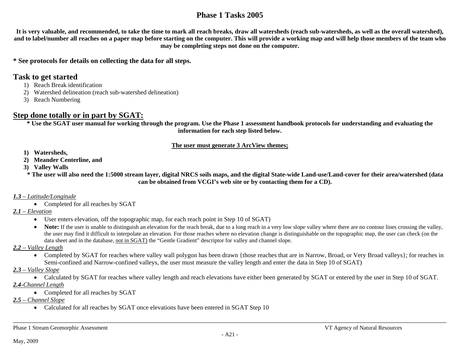## **Phase 1 Tasks 2005**

**It is very valuable, and recommended, to take the time to mark all reach breaks, draw all watersheds (reach sub-watersheds, as well as the overall watershed), and to label/number all reaches on a paper map before starting on the computer. This will provide a working map and will help those members of the team who may be completing steps not done on the computer.** 

#### **\* See protocols for details on collecting the data for all steps.**

#### **Task to get started**

- 1) Reach Break identification
- 2) Watershed delineation (reach sub-watershed delineation)
- 3) Reach Numbering

## **Step done totally or in part by SGAT:**

**\* Use the SGAT user manual for working through the program. Use the Phase 1 assessment handbook protocols for understanding and evaluating the information for each step listed below.** 

#### **The user must generate 3 ArcView themes;**

- **1) Watersheds,**
- **2) Meander Centerline, and**
- **3) Valley Walls**

**\* The user will also need the 1:5000 stream layer, digital NRCS soils maps, and the digital State-wide Land-use/Land-cover for their area/watershed (data can be obtained from VCGI's web site or by contacting them for a CD).** 

#### *1.3 – Latitude/Longitude*

• Completed for all reaches by SGAT

#### *2.1 – Elevation*

- User enters elevation, off the topographic map, for each reach point in Step 10 of SGAT)
- Note: If the user is unable to distinguish an elevation for the reach break, due to a long reach in a very low slope valley where there are no contour lines crossing the valley, the user may find it difficult to interpolate an elevation. For those reaches where no elevation change is distinguishable on the topographic map, the user can check (on the data sheet and in the database, not in SGAT) the "Gentle Gradient" descriptor for valley and channel slope.
- *2.2 Valley Length*
	- Completed by SGAT for reaches where valley wall polygon has been drawn {those reaches that are in Narrow, Broad, or Very Broad valleys}; for reaches in Semi-confined and Narrow-confined valleys, the user must measure the valley length and enter the data in Step 10 of SGAT)
- *2.3 Valley Slope*

• Calculated by SGAT for reaches where valley length and reach elevations have either been generated by SGAT or entered by the user in Step 10 of SGAT. *2.4-Channel Length*

- Completed for all reaches by SGAT
- *2.5 Channel Slope*
	- Calculated for all reaches by SGAT once elevations have been entered in SGAT Step 10

Phase 1 Stream Geomorphic Assessment VT Agency of Natural Resources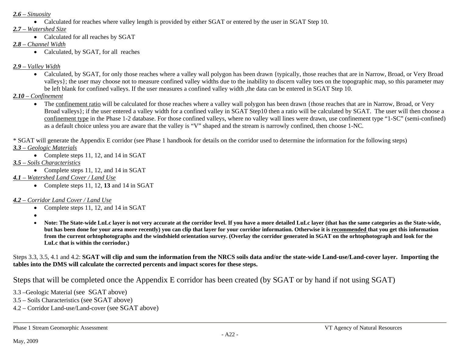#### *2.6 – Sinuosity*

Calculated for reaches where valley length is provided by either SGAT or entered by the user in SGAT Step 10.

#### *2.7 – Watershed Size*

• Calculated for all reaches by SGAT

#### *2.8 – Channel Width*

• Calculated, by SGAT, for all reaches

## *2.9 – Valley Width*

• Calculated, by SGAT, for only those reaches where a valley wall polygon has been drawn {typically, those reaches that are in Narrow, Broad, or Very Broad valleys}; the user may choose not to measure confined valley widths due to the inability to discern valley toes on the topographic map, so this parameter may be left blank for confined valleys. If the user measures a confined valley width ,the data can be entered in SGAT Step 10.

## *2.10 – Confinement*

• The confinement ratio will be calculated for those reaches where a valley wall polygon has been drawn {those reaches that are in Narrow, Broad, or Very Broad valleys}; if the user entered a valley width for a confined valley in SGAT Step10 then a ratio will be calculated by SGAT. The user will then choose a confinement type in the Phase 1-2 database. For those confined valleys, where no valley wall lines were drawn, use confinement type "1-SC" (semi-confined) as a default choice unless you are aware that the valley is "V" shaped and the stream is narrowly confined, then choose 1-NC.

\* SGAT will generate the Appendix E corridor (see Phase 1 handbook for details on the corridor used to determine the information for the following steps) *3.3 – Geologic Materials*

• Complete steps 11, 12, and 14 in SGAT

## *3.5 – Soils Characteristics*

- Complete steps 11, 12, and 14 in SGAT
- *4.1 Watershed Land Cover / Land Use*
	- Complete steps 11, 12, **13** and 14 in SGAT

## *4.2 – Corridor Land Cover / Land Use*

- Complete steps 11, 12, and 14 in SGAT
- $\bullet$
- $\bullet$  **Note: The State-wide LuLc layer is not very accurate at the corridor level. If you have a more detailed LuLc layer (that has the same categories as the State-wide,**  but has been done for your area more recently) you can clip that layer for your corridor information. Otherwise it is recommended that you get this information **from the current orhtophotographs and the windshield orientation survey. (Overlay the corridor generated in SGAT on the orhtophotograph and look for the LuLc that is within the corriodor.)**

Steps 3.3, 3.5, 4.1 and 4.2: **SGAT will clip and sum the information from the NRCS soils data and/or the state-wide Land-use/Land-cover layer. Importing the tables into the DMS will calculate the corrected percents and impact scores for these steps.** 

Steps that will be completed once the Appendix E corridor has been created (by SGAT or by hand if not using SGAT)

- 3.3 –Geologic Material (see SGAT above)
- 3.5 Soils Characteristics (see SGAT above)
- 4.2 Corridor Land-use/Land-cover (see SGAT above)

Phase 1 Stream Geomorphic Assessment VT Agency of Natural Resources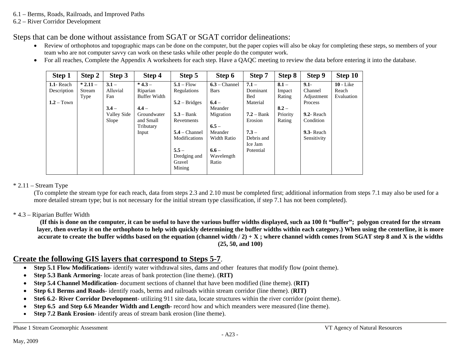- 6.1 Berms, Roads, Railroads, and Improved Paths
- 6.2 River Corridor Development

Steps that can be done without assistance from SGAT or SGAT corridor delineations:

- $\bullet$ Review of orthophotos and topographic maps can be done on the computer, but the paper copies will also be okay for completing these steps, so members of your team who are not computer savvy can work on these tasks while other people do the computer work.
- $\bullet$ For all reaches, Complete the Appendix A worksheets for each step. Have a QAQC meeting to review the data before entering it into the database.

| Step 1       | Step 2     | Step 3      | Step 4              | Step 5                 | Step 6          | Step 7       | Step 8   | Step 9        | Step 10     |
|--------------|------------|-------------|---------------------|------------------------|-----------------|--------------|----------|---------------|-------------|
| 1.1- Reach   | $* 2.11 -$ | $3.1 -$     | $*4.3 -$            | $5.1 - Flow$           | $6.3$ – Channel | $7.1 -$      | $8.1 -$  | $9.1 -$       | $10$ - Like |
| Description  | Stream     | Alluvial    | Riparian            | Regulations            | <b>Bars</b>     | Dominant     | Impact   | Channel       | Reach       |
|              | Type       | Fan         | <b>Buffer Width</b> |                        |                 | Bed          | Rating   | Adjustment    | Evaluation  |
| $1.2 - Town$ |            |             |                     | $5.2 - \text{Bridges}$ | $6.4 -$         | Material     |          | Process       |             |
|              |            | $3.4 -$     | $4.4 -$             |                        | Meander         |              | $8.2 -$  |               |             |
|              |            | Valley Side | Groundwater         | $5.3 - Bank$           | Migration       | $7.2 - Bank$ | Priority | $9.2$ - Reach |             |
|              |            | Slope       | and Small           | Revetments             |                 | Erosion      | Rating   | Condition     |             |
|              |            |             | Tributary           |                        | $6.5 -$         |              |          |               |             |
|              |            |             | Input               | $5.4$ – Channel        | Meander         | $7.3 -$      |          | $9.3$ - Reach |             |
|              |            |             |                     | Modifications          | Width Ratio     | Debris and   |          | Sensitivity   |             |
|              |            |             |                     |                        |                 | Ice Jam      |          |               |             |
|              |            |             |                     | $5.5 -$                | $6.6 -$         | Potential    |          |               |             |
|              |            |             |                     | Dredging and           | Wavelength      |              |          |               |             |
|              |            |             |                     | Gravel                 | Ratio           |              |          |               |             |
|              |            |             |                     | Mining                 |                 |              |          |               |             |
|              |            |             |                     |                        |                 |              |          |               |             |

#### $* 2.11 -$ Stream Type

(To complete the stream type for each reach, data from steps 2.3 and 2.10 must be completed first; additional information from steps 7.1 may also be used for a more detailed stream type; but is not necessary for the initial stream type classification, if step 7.1 has not been completed).

#### \* 4.3 – Riparian Buffer Width

**(If this is done on the computer, it can be useful to have the various buffer widths displayed, such aa 100 ft "buffer"; polygon created for the stream**  layer, then overlay it on the orthophoto to help with quickly determining the buffer widths within each category.) When using the centerline, it is more **accurate to create the buffer widths based on the equation (channel width / 2) + X ; where channel width comes from SGAT step 8 and X is the widths (25, 50, and 100)** 

## **Create the following GIS layers that correspond to Steps 5-7**.

- $\bullet$ **Step 5.1 Flow Modifications**- identify water withdrawal sites, dams and other features that modify flow (point theme).
- $\bullet$ **Step 5.3 Bank Armoring**- locate areas of bank protection (line theme). (**RIT)**
- 0 **Step 5.4 Channel Modification**- document sections of channel that have been modified (line theme). (**RIT)**
- $\bullet$ **Step 6.1 Berms and Roads**- identify roads, berms and railroads within stream corridor (line theme). (**RIT)**
- $\bullet$ **Ste6 6.2- River Corridor Development**- utilizing 911 site data, locate structures within the river corridor (point theme).
- 0 **Step 6.5 and Step 6.6 Meander Width and Length**- record how and which meanders were measured (line theme).
- 0 **Step 7.2 Bank Erosion**- identify areas of stream bank erosion (line theme).

```
Phase 1 Stream Geomorphic Assessment VT Agency of Natural Resources
```